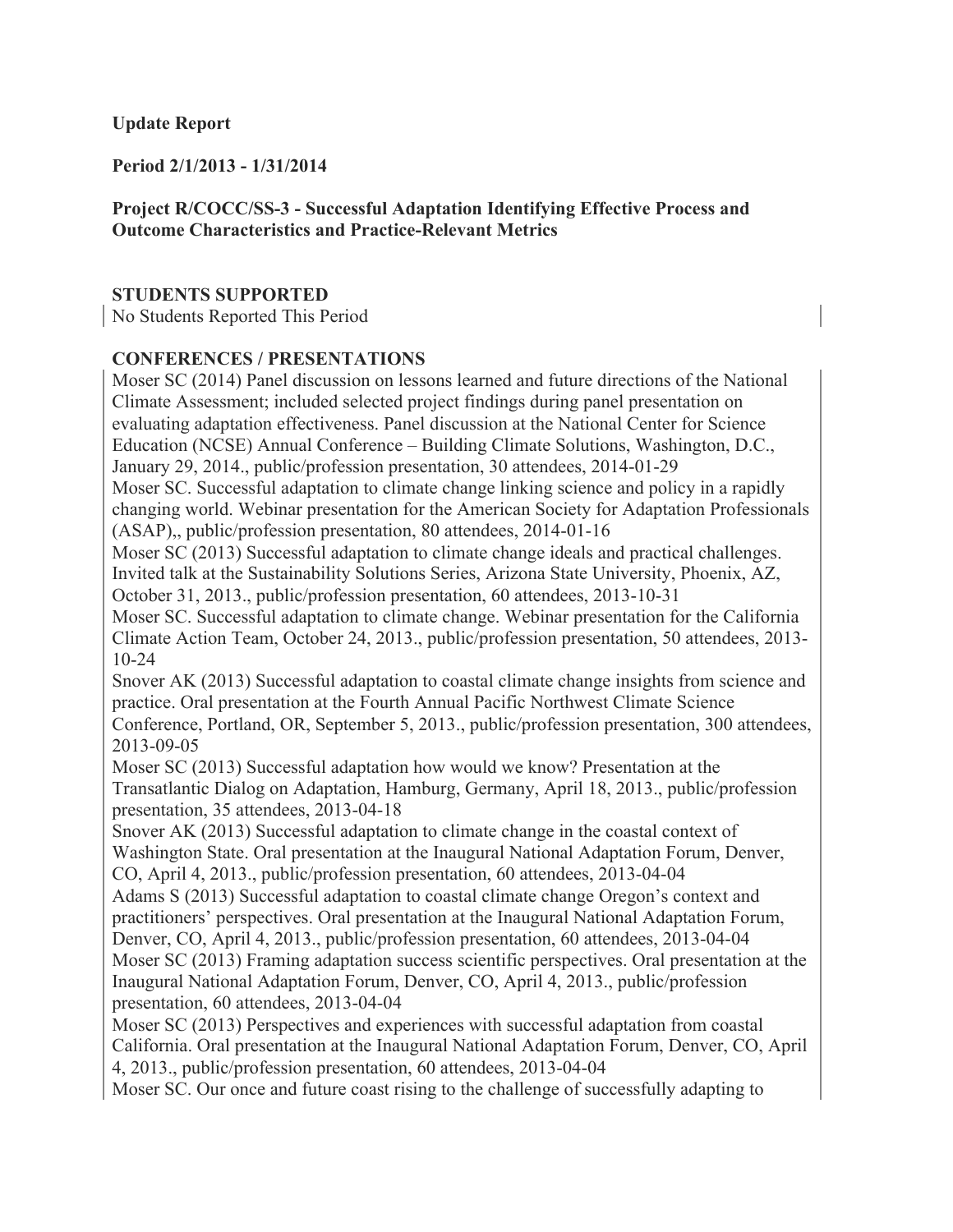### **Update Report**

**Period 2/1/2013 - 1/31/2014**

# **Project R/COCC/SS-3 - Successful Adaptation Identifying Effective Process and Outcome Characteristics and Practice-Relevant Metrics**

### **STUDENTS SUPPORTED**

No Students Reported This Period

### **CONFERENCES / PRESENTATIONS**

Moser SC (2014) Panel discussion on lessons learned and future directions of the National Climate Assessment; included selected project findings during panel presentation on evaluating adaptation effectiveness. Panel discussion at the National Center for Science Education (NCSE) Annual Conference – Building Climate Solutions, Washington, D.C., January 29, 2014., public/profession presentation, 30 attendees, 2014-01-29 Moser SC. Successful adaptation to climate change linking science and policy in a rapidly changing world. Webinar presentation for the American Society for Adaptation Professionals (ASAP),, public/profession presentation, 80 attendees, 2014-01-16 Moser SC (2013) Successful adaptation to climate change ideals and practical challenges. Invited talk at the Sustainability Solutions Series, Arizona State University, Phoenix, AZ, October 31, 2013., public/profession presentation, 60 attendees, 2013-10-31 Moser SC. Successful adaptation to climate change. Webinar presentation for the California Climate Action Team, October 24, 2013., public/profession presentation, 50 attendees, 2013- 10-24 Snover AK (2013) Successful adaptation to coastal climate change insights from science and practice. Oral presentation at the Fourth Annual Pacific Northwest Climate Science Conference, Portland, OR, September 5, 2013., public/profession presentation, 300 attendees, 2013-09-05 Moser SC (2013) Successful adaptation how would we know? Presentation at the Transatlantic Dialog on Adaptation, Hamburg, Germany, April 18, 2013., public/profession presentation, 35 attendees, 2013-04-18 Snover AK (2013) Successful adaptation to climate change in the coastal context of Washington State. Oral presentation at the Inaugural National Adaptation Forum, Denver, CO, April 4, 2013., public/profession presentation, 60 attendees, 2013-04-04 Adams S (2013) Successful adaptation to coastal climate change Oregon's context and practitioners' perspectives. Oral presentation at the Inaugural National Adaptation Forum, Denver, CO, April 4, 2013., public/profession presentation, 60 attendees, 2013-04-04 Moser SC (2013) Framing adaptation success scientific perspectives. Oral presentation at the Inaugural National Adaptation Forum, Denver, CO, April 4, 2013., public/profession presentation, 60 attendees, 2013-04-04 Moser SC (2013) Perspectives and experiences with successful adaptation from coastal California. Oral presentation at the Inaugural National Adaptation Forum, Denver, CO, April

4, 2013., public/profession presentation, 60 attendees, 2013-04-04

Moser SC. Our once and future coast rising to the challenge of successfully adapting to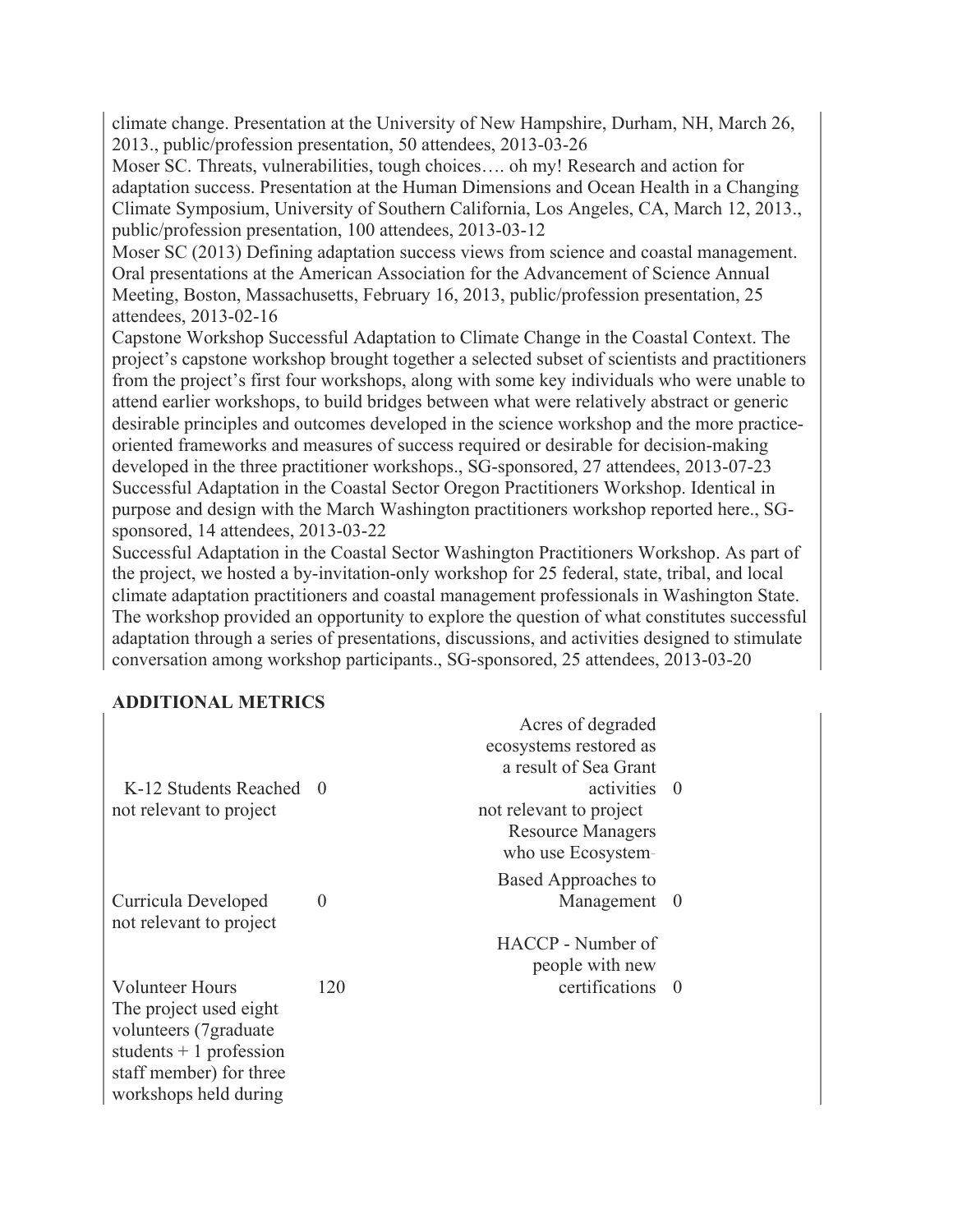climate change. Presentation at the University of New Hampshire, Durham, NH, March 26, 2013., public/profession presentation, 50 attendees, 2013-03-26

Moser SC. Threats, vulnerabilities, tough choices…. oh my! Research and action for adaptation success. Presentation at the Human Dimensions and Ocean Health in a Changing Climate Symposium, University of Southern California, Los Angeles, CA, March 12, 2013., public/profession presentation, 100 attendees, 2013-03-12

Moser SC (2013) Defining adaptation success views from science and coastal management. Oral presentations at the American Association for the Advancement of Science Annual Meeting, Boston, Massachusetts, February 16, 2013, public/profession presentation, 25 attendees, 2013-02-16

Capstone Workshop Successful Adaptation to Climate Change in the Coastal Context. The project's capstone workshop brought together a selected subset of scientists and practitioners from the project's first four workshops, along with some key individuals who were unable to attend earlier workshops, to build bridges between what were relatively abstract or generic desirable principles and outcomes developed in the science workshop and the more practiceoriented frameworks and measures of success required or desirable for decision-making developed in the three practitioner workshops., SG-sponsored, 27 attendees, 2013-07-23 Successful Adaptation in the Coastal Sector Oregon Practitioners Workshop. Identical in purpose and design with the March Washington practitioners workshop reported here., SGsponsored, 14 attendees, 2013-03-22

Successful Adaptation in the Coastal Sector Washington Practitioners Workshop. As part of the project, we hosted a by-invitation-only workshop for 25 federal, state, tribal, and local climate adaptation practitioners and coastal management professionals in Washington State. The workshop provided an opportunity to explore the question of what constitutes successful adaptation through a series of presentations, discussions, and activities designed to stimulate conversation among workshop participants., SG-sponsored, 25 attendees, 2013-03-20

### **ADDITIONAL METRICS**

|                          |            | Acres of degraded        |            |
|--------------------------|------------|--------------------------|------------|
|                          |            | ecosystems restored as   |            |
|                          |            | a result of Sea Grant    |            |
| K-12 Students Reached    | $\bigcirc$ | activities 0             |            |
| not relevant to project  |            | not relevant to project  |            |
|                          |            | <b>Resource Managers</b> |            |
|                          |            | who use Ecosystem-       |            |
|                          |            | Based Approaches to      |            |
| Curricula Developed      | $\theta$   | Management 0             |            |
| not relevant to project  |            |                          |            |
|                          |            | HACCP - Number of        |            |
|                          |            | people with new          |            |
| <b>Volunteer Hours</b>   | 120        | certifications           | $\bigcirc$ |
| The project used eight   |            |                          |            |
| volunteers (7 graduate)  |            |                          |            |
| students $+1$ profession |            |                          |            |
| staff member) for three  |            |                          |            |
| workshops held during    |            |                          |            |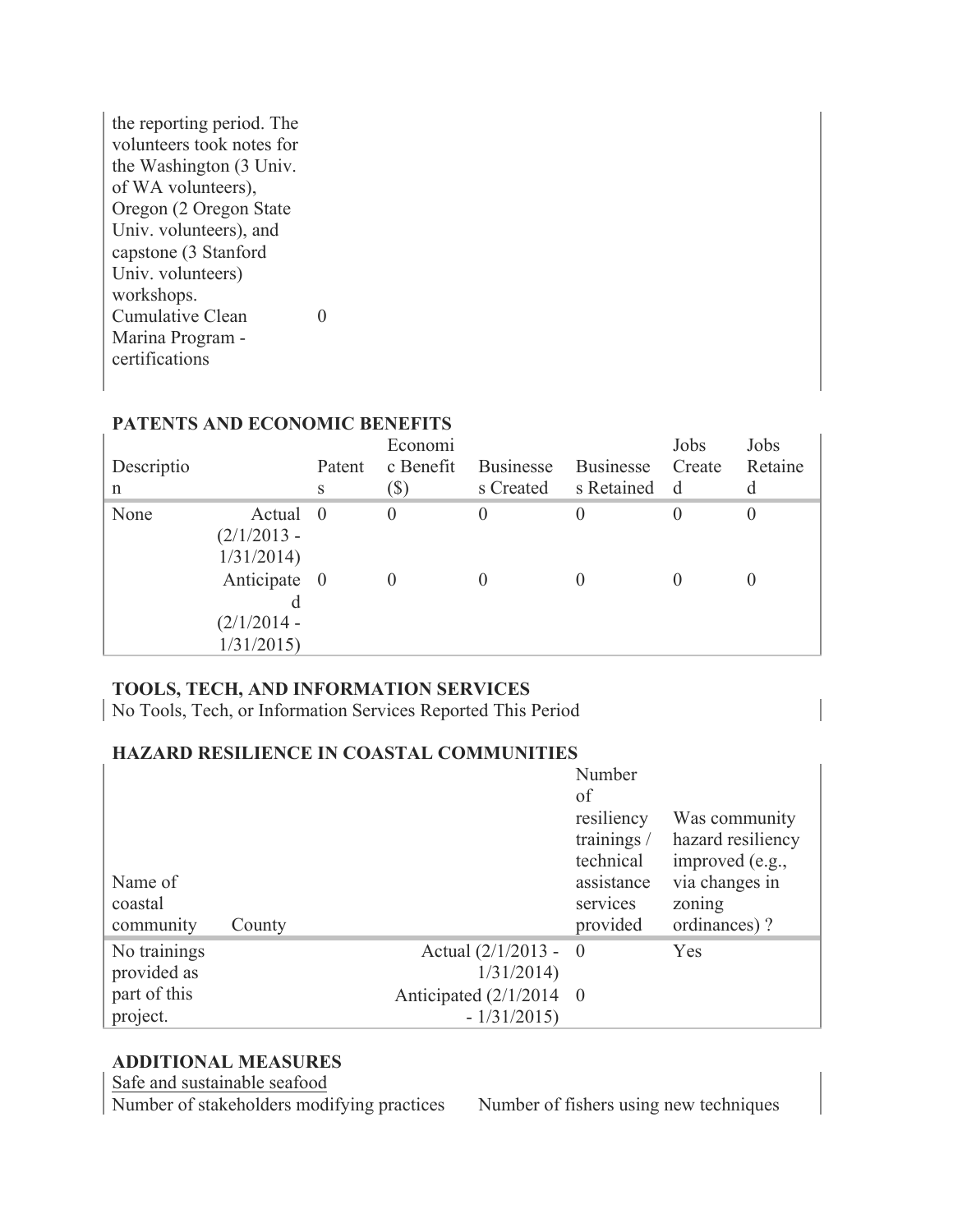| the reporting period. The |
|---------------------------|
| volunteers took notes for |
| the Washington (3 Univ.   |
| of WA volunteers),        |
| Oregon (2 Oregon State)   |
| Univ. volunteers), and    |
| capstone (3 Stanford      |
| Univ. volunteers)         |
| workshops.                |
| <b>Cumulative Clean</b>   |
| Marina Program -          |
| certifications            |

| Descriptio<br>n |                                            | Patent<br>S | Economi<br>c Benefit<br>$(\$)$ | <b>Businesse</b><br>s Created | Businesse<br>s Retained | Jobs<br>Create<br>d | Jobs<br>Retaine<br>d |
|-----------------|--------------------------------------------|-------------|--------------------------------|-------------------------------|-------------------------|---------------------|----------------------|
| None            | Actual<br>$(2/1/2013 -$<br>1/31/2014       | $\bigcirc$  | $\theta$                       | $\theta$                      |                         |                     | 0                    |
|                 | Anticipate 0<br>$(2/1/2014 -$<br>1/31/2015 |             |                                |                               |                         |                     |                      |

# **PATENTS AND ECONOMIC BENEFITS**

# **TOOLS, TECH, AND INFORMATION SERVICES**

No Tools, Tech, or Information Services Reported This Period

### **HAZARD RESILIENCE IN COASTAL COMMUNITIES**

|                      |        |                                            | Number<br>of                                         |                                                                         |
|----------------------|--------|--------------------------------------------|------------------------------------------------------|-------------------------------------------------------------------------|
| Name of              |        |                                            | resiliency<br>trainings /<br>technical<br>assistance | Was community<br>hazard resiliency<br>improved (e.g.,<br>via changes in |
| coastal<br>community | County |                                            | services<br>provided                                 | zoning<br>ordinances)?                                                  |
| No trainings         |        | Actual $\left(\frac{2}{1/2013} - 0\right)$ |                                                      | Yes                                                                     |
| provided as          |        | 1/31/2014                                  |                                                      |                                                                         |
| part of this         |        | Anticipated $(2/1/2014 \ 0$                |                                                      |                                                                         |
| project.             |        | $-1/31/2015$                               |                                                      |                                                                         |

# **ADDITIONAL MEASURES**

Safe and sustainable seafood

Number of stakeholders modifying practices Number of fishers using new techniques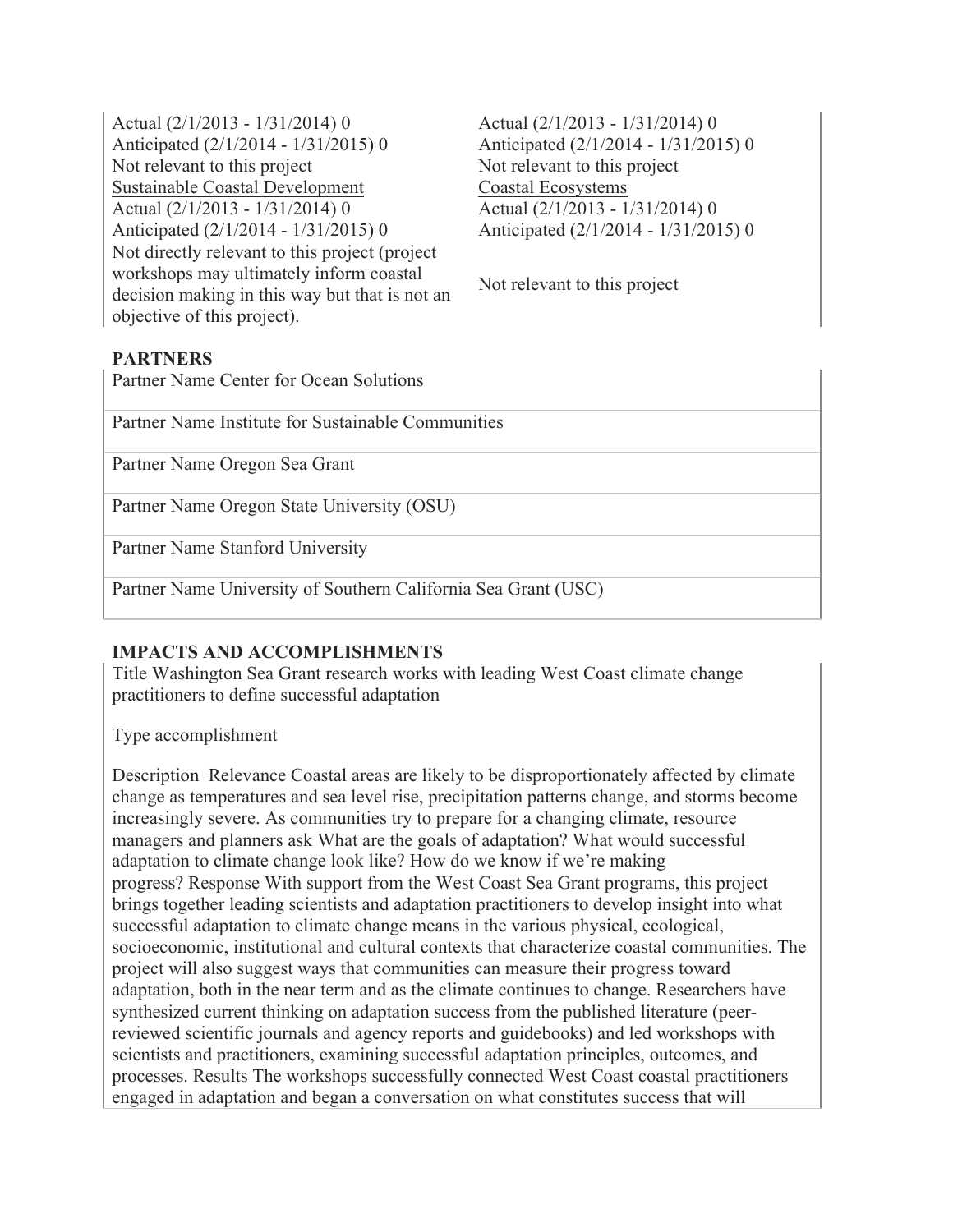Actual (2/1/2013 - 1/31/2014) 0 Anticipated (2/1/2014 - 1/31/2015) 0 Not relevant to this project Not relevant to this project Sustainable Coastal Development Coastal Ecosystems Actual (2/1/2013 - 1/31/2014) 0 Anticipated (2/1/2014 - 1/31/2015) 0 Not directly relevant to this project (project workshops may ultimately inform coastal decision making in this way but that is not an objective of this project).

Actual (2/1/2013 - 1/31/2014) 0 Anticipated (2/1/2014 - 1/31/2015) 0 Actual (2/1/2013 - 1/31/2014) 0 Anticipated (2/1/2014 - 1/31/2015) 0

Not relevant to this project

# **PARTNERS**

Partner Name Center for Ocean Solutions

Partner Name Institute for Sustainable Communities

Partner Name Oregon Sea Grant

Partner Name Oregon State University (OSU)

Partner Name Stanford University

Partner Name University of Southern California Sea Grant (USC)

# **IMPACTS AND ACCOMPLISHMENTS**

Title Washington Sea Grant research works with leading West Coast climate change practitioners to define successful adaptation

Type accomplishment

Description Relevance Coastal areas are likely to be disproportionately affected by climate change as temperatures and sea level rise, precipitation patterns change, and storms become increasingly severe. As communities try to prepare for a changing climate, resource managers and planners ask What are the goals of adaptation? What would successful adaptation to climate change look like? How do we know if we're making progress? Response With support from the West Coast Sea Grant programs, this project brings together leading scientists and adaptation practitioners to develop insight into what successful adaptation to climate change means in the various physical, ecological, socioeconomic, institutional and cultural contexts that characterize coastal communities. The project will also suggest ways that communities can measure their progress toward adaptation, both in the near term and as the climate continues to change. Researchers have synthesized current thinking on adaptation success from the published literature (peerreviewed scientific journals and agency reports and guidebooks) and led workshops with scientists and practitioners, examining successful adaptation principles, outcomes, and processes. Results The workshops successfully connected West Coast coastal practitioners engaged in adaptation and began a conversation on what constitutes success that will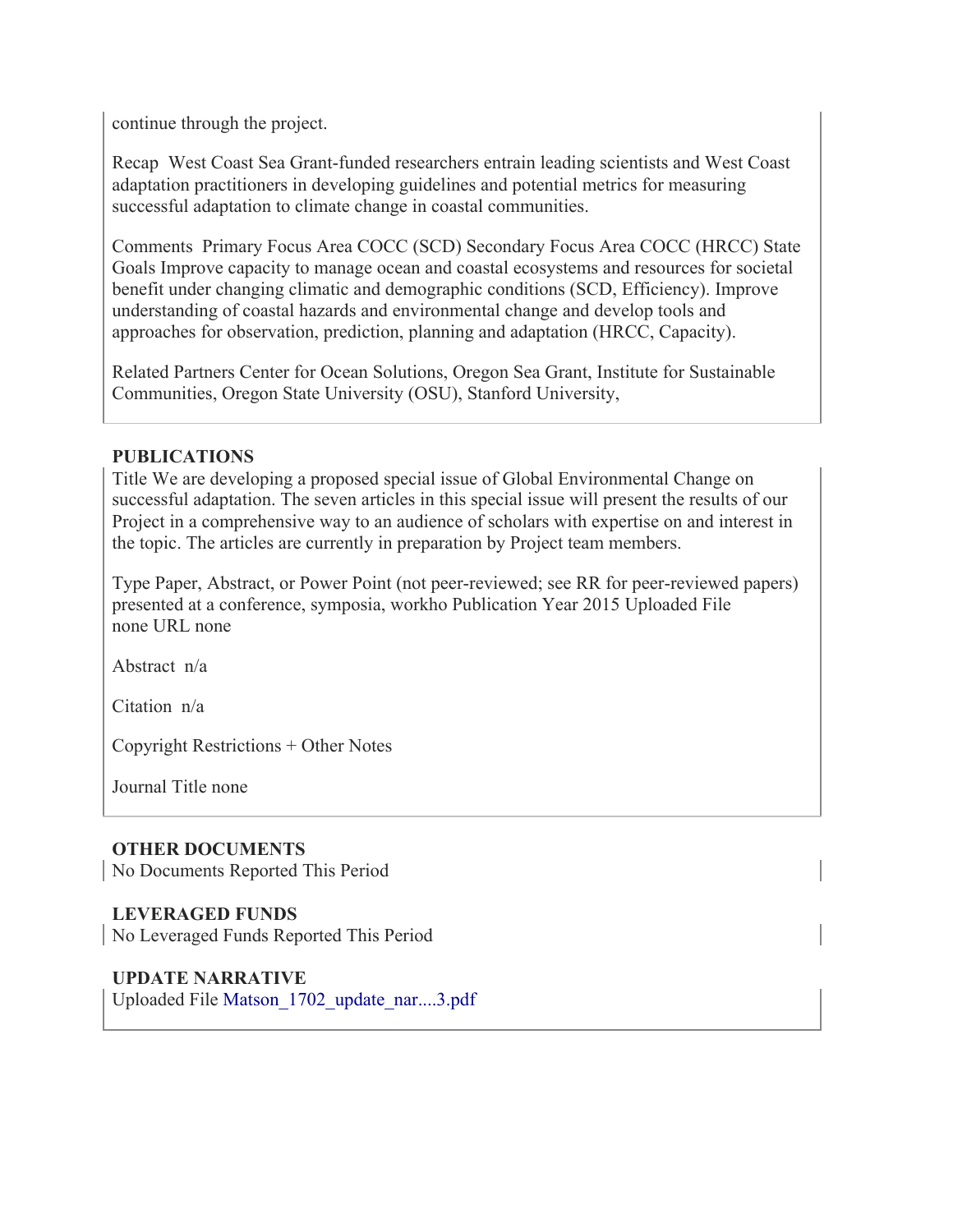continue through the project.

Recap West Coast Sea Grant-funded researchers entrain leading scientists and West Coast adaptation practitioners in developing guidelines and potential metrics for measuring successful adaptation to climate change in coastal communities.

Comments Primary Focus Area COCC (SCD) Secondary Focus Area COCC (HRCC) State Goals Improve capacity to manage ocean and coastal ecosystems and resources for societal benefit under changing climatic and demographic conditions (SCD, Efficiency). Improve understanding of coastal hazards and environmental change and develop tools and approaches for observation, prediction, planning and adaptation (HRCC, Capacity).

Related Partners Center for Ocean Solutions, Oregon Sea Grant, Institute for Sustainable Communities, Oregon State University (OSU), Stanford University,

### **PUBLICATIONS**

Title We are developing a proposed special issue of Global Environmental Change on successful adaptation. The seven articles in this special issue will present the results of our Project in a comprehensive way to an audience of scholars with expertise on and interest in the topic. The articles are currently in preparation by Project team members.

Type Paper, Abstract, or Power Point (not peer-reviewed; see RR for peer-reviewed papers) presented at a conference, symposia, workho Publication Year 2015 Uploaded File none URL none

Abstract n/a

Citation n/a

Copyright Restrictions + Other Notes

Journal Title none

# **OTHER DOCUMENTS**

No Documents Reported This Period

# **LEVERAGED FUNDS**

No Leveraged Funds Reported This Period

# **UPDATE NARRATIVE**

Uploaded File Matson\_1702\_update\_nar....3.pdf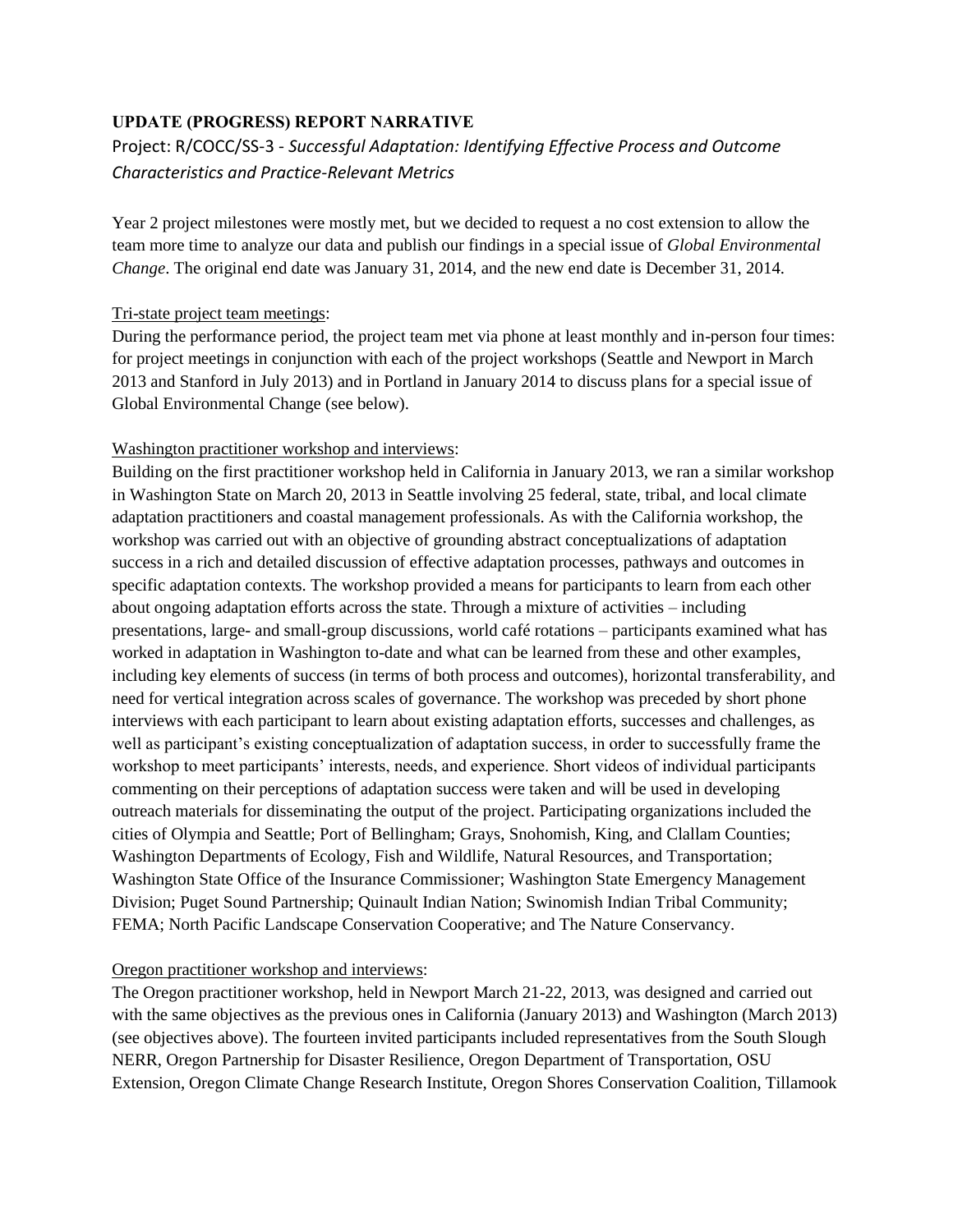### **UPDATE (PROGRESS) REPORT NARRATIVE**

# Project: R/COCC/SS-3 - *Successful Adaptation: Identifying Effective Process and Outcome Characteristics and Practice-Relevant Metrics*

Year 2 project milestones were mostly met, but we decided to request a no cost extension to allow the team more time to analyze our data and publish our findings in a special issue of *Global Environmental Change*. The original end date was January 31, 2014, and the new end date is December 31, 2014.

#### Tri-state project team meetings:

During the performance period, the project team met via phone at least monthly and in-person four times: for project meetings in conjunction with each of the project workshops (Seattle and Newport in March 2013 and Stanford in July 2013) and in Portland in January 2014 to discuss plans for a special issue of Global Environmental Change (see below).

#### Washington practitioner workshop and interviews:

Building on the first practitioner workshop held in California in January 2013, we ran a similar workshop in Washington State on March 20, 2013 in Seattle involving 25 federal, state, tribal, and local climate adaptation practitioners and coastal management professionals. As with the California workshop, the workshop was carried out with an objective of grounding abstract conceptualizations of adaptation success in a rich and detailed discussion of effective adaptation processes, pathways and outcomes in specific adaptation contexts. The workshop provided a means for participants to learn from each other about ongoing adaptation efforts across the state. Through a mixture of activities – including presentations, large- and small-group discussions, world café rotations – participants examined what has worked in adaptation in Washington to-date and what can be learned from these and other examples, including key elements of success (in terms of both process and outcomes), horizontal transferability, and need for vertical integration across scales of governance. The workshop was preceded by short phone interviews with each participant to learn about existing adaptation efforts, successes and challenges, as well as participant's existing conceptualization of adaptation success, in order to successfully frame the workshop to meet participants' interests, needs, and experience. Short videos of individual participants commenting on their perceptions of adaptation success were taken and will be used in developing outreach materials for disseminating the output of the project. Participating organizations included the cities of Olympia and Seattle; Port of Bellingham; Grays, Snohomish, King, and Clallam Counties; Washington Departments of Ecology, Fish and Wildlife, Natural Resources, and Transportation; Washington State Office of the Insurance Commissioner; Washington State Emergency Management Division; Puget Sound Partnership; Quinault Indian Nation; Swinomish Indian Tribal Community; FEMA; North Pacific Landscape Conservation Cooperative; and The Nature Conservancy.

#### Oregon practitioner workshop and interviews:

The Oregon practitioner workshop, held in Newport March 21-22, 2013, was designed and carried out with the same objectives as the previous ones in California (January 2013) and Washington (March 2013) (see objectives above). The fourteen invited participants included representatives from the South Slough NERR, Oregon Partnership for Disaster Resilience, Oregon Department of Transportation, OSU Extension, Oregon Climate Change Research Institute, Oregon Shores Conservation Coalition, Tillamook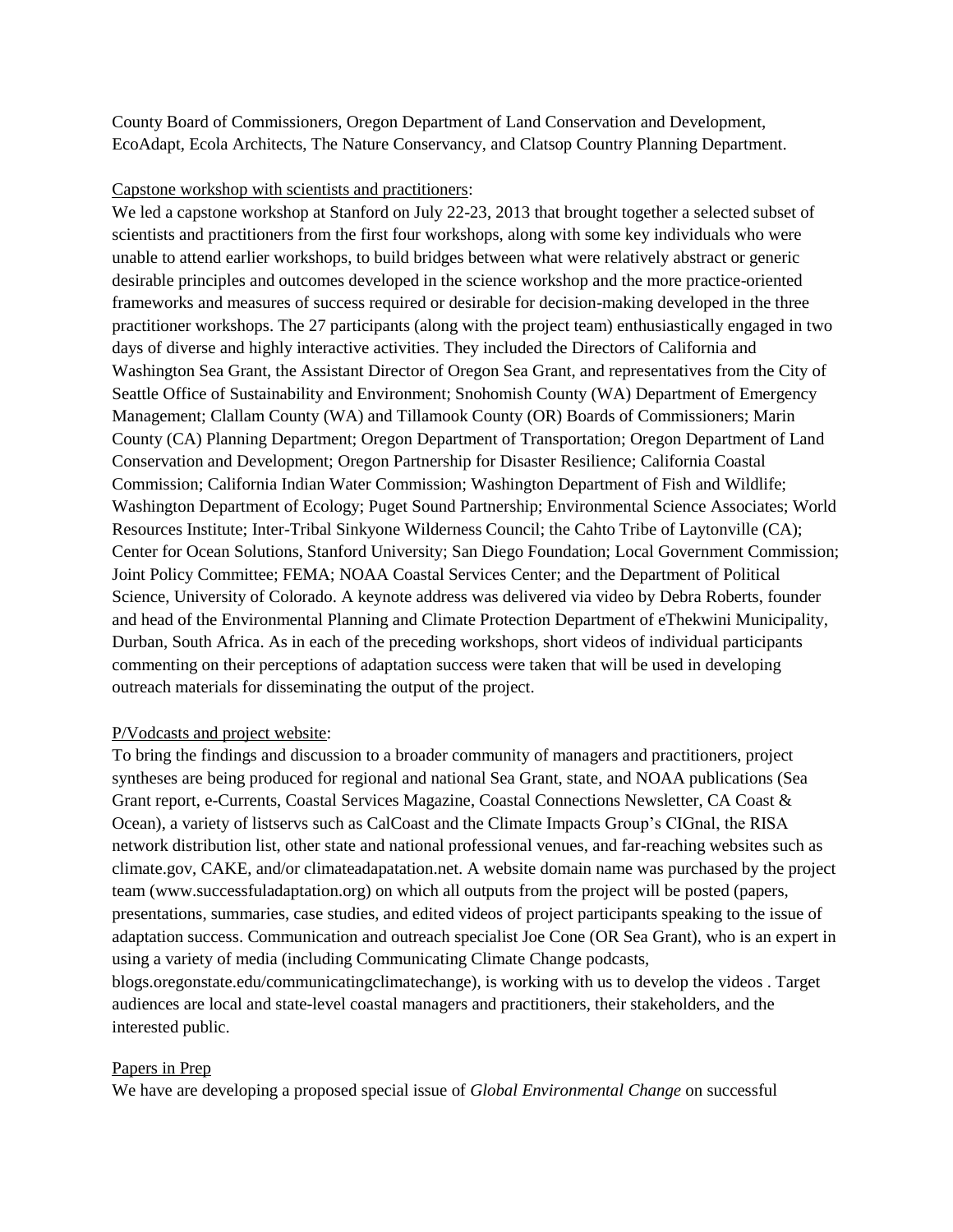County Board of Commissioners, Oregon Department of Land Conservation and Development, EcoAdapt, Ecola Architects, The Nature Conservancy, and Clatsop Country Planning Department.

#### Capstone workshop with scientists and practitioners:

We led a capstone workshop at Stanford on July 22-23, 2013 that brought together a selected subset of scientists and practitioners from the first four workshops, along with some key individuals who were unable to attend earlier workshops, to build bridges between what were relatively abstract or generic desirable principles and outcomes developed in the science workshop and the more practice-oriented frameworks and measures of success required or desirable for decision-making developed in the three practitioner workshops. The 27 participants (along with the project team) enthusiastically engaged in two days of diverse and highly interactive activities. They included the Directors of California and Washington Sea Grant, the Assistant Director of Oregon Sea Grant, and representatives from the City of Seattle Office of Sustainability and Environment; Snohomish County (WA) Department of Emergency Management; Clallam County (WA) and Tillamook County (OR) Boards of Commissioners; Marin County (CA) Planning Department; Oregon Department of Transportation; Oregon Department of Land Conservation and Development; Oregon Partnership for Disaster Resilience; California Coastal Commission; California Indian Water Commission; Washington Department of Fish and Wildlife; Washington Department of Ecology; Puget Sound Partnership; Environmental Science Associates; World Resources Institute; Inter-Tribal Sinkyone Wilderness Council; the Cahto Tribe of Laytonville (CA); Center for Ocean Solutions, Stanford University; San Diego Foundation; Local Government Commission; Joint Policy Committee; FEMA; NOAA Coastal Services Center; and the Department of Political Science, University of Colorado. A keynote address was delivered via video by Debra Roberts, founder and head of the Environmental Planning and Climate Protection Department of eThekwini Municipality, Durban, South Africa. As in each of the preceding workshops, short videos of individual participants commenting on their perceptions of adaptation success were taken that will be used in developing outreach materials for disseminating the output of the project.

#### P/Vodcasts and project website:

To bring the findings and discussion to a broader community of managers and practitioners, project syntheses are being produced for regional and national Sea Grant, state, and NOAA publications (Sea Grant report, e-Currents, Coastal Services Magazine, Coastal Connections Newsletter, CA Coast & Ocean), a variety of listservs such as CalCoast and the Climate Impacts Group's CIGnal, the RISA network distribution list, other state and national professional venues, and far-reaching websites such as climate.gov, CAKE, and/or climateadapatation.net. A website domain name was purchased by the project team (www.successfuladaptation.org) on which all outputs from the project will be posted (papers, presentations, summaries, case studies, and edited videos of project participants speaking to the issue of adaptation success. Communication and outreach specialist Joe Cone (OR Sea Grant), who is an expert in using a variety of media (including Communicating Climate Change podcasts, blogs.oregonstate.edu/communicatingclimatechange), is working with us to develop the videos . Target audiences are local and state-level coastal managers and practitioners, their stakeholders, and the interested public.

#### Papers in Prep

We have are developing a proposed special issue of *Global Environmental Change* on successful